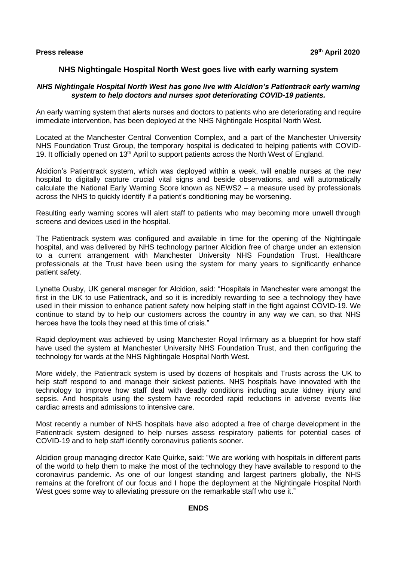# **NHS Nightingale Hospital North West goes live with early warning system**

### *NHS Nightingale Hospital North West has gone live with Alcidion's Patientrack early warning system to help doctors and nurses spot deteriorating COVID-19 patients.*

An early warning system that alerts nurses and doctors to patients who are deteriorating and require immediate intervention, has been deployed at the NHS Nightingale Hospital North West.

Located at the Manchester Central Convention Complex, and a part of the Manchester University NHS Foundation Trust Group, the temporary hospital is dedicated to helping patients with COVID-19. It officially opened on 13<sup>th</sup> April to support patients across the North West of England.

Alcidion's Patientrack system, which was deployed within a week, will enable nurses at the new hospital to digitally capture crucial vital signs and beside observations, and will automatically calculate the National Early Warning Score known as NEWS2 – a measure used by professionals across the NHS to quickly identify if a patient's conditioning may be worsening.

Resulting early warning scores will alert staff to patients who may becoming more unwell through screens and devices used in the hospital.

The Patientrack system was configured and available in time for the opening of the Nightingale hospital, and was delivered by NHS technology partner Alcidion free of charge under an extension to a current arrangement with Manchester University NHS Foundation Trust. Healthcare professionals at the Trust have been using the system for many years to significantly enhance patient safety.

Lynette Ousby, UK general manager for Alcidion, said: "Hospitals in Manchester were amongst the first in the UK to use Patientrack, and so it is incredibly rewarding to see a technology they have used in their mission to enhance patient safety now helping staff in the fight against COVID-19. We continue to stand by to help our customers across the country in any way we can, so that NHS heroes have the tools they need at this time of crisis."

Rapid deployment was achieved by using Manchester Royal Infirmary as a blueprint for how staff have used the system at Manchester University NHS Foundation Trust, and then configuring the technology for wards at the NHS Nightingale Hospital North West.

More widely, the Patientrack system is used by dozens of hospitals and Trusts across the UK to help staff respond to and manage their sickest patients. NHS hospitals have innovated with the technology to improve how staff deal with deadly conditions including acute kidney injury and sepsis. And hospitals using the system have recorded rapid reductions in adverse events like cardiac arrests and admissions to intensive care.

Most recently a number of NHS hospitals have also adopted a free of charge development in the Patientrack system designed to help nurses assess respiratory patients for potential cases of COVID-19 and to help staff identify coronavirus patients sooner.

Alcidion group managing director Kate Quirke, said: "We are working with hospitals in different parts of the world to help them to make the most of the technology they have available to respond to the coronavirus pandemic. As one of our longest standing and largest partners globally, the NHS remains at the forefront of our focus and I hope the deployment at the Nightingale Hospital North West goes some way to alleviating pressure on the remarkable staff who use it."